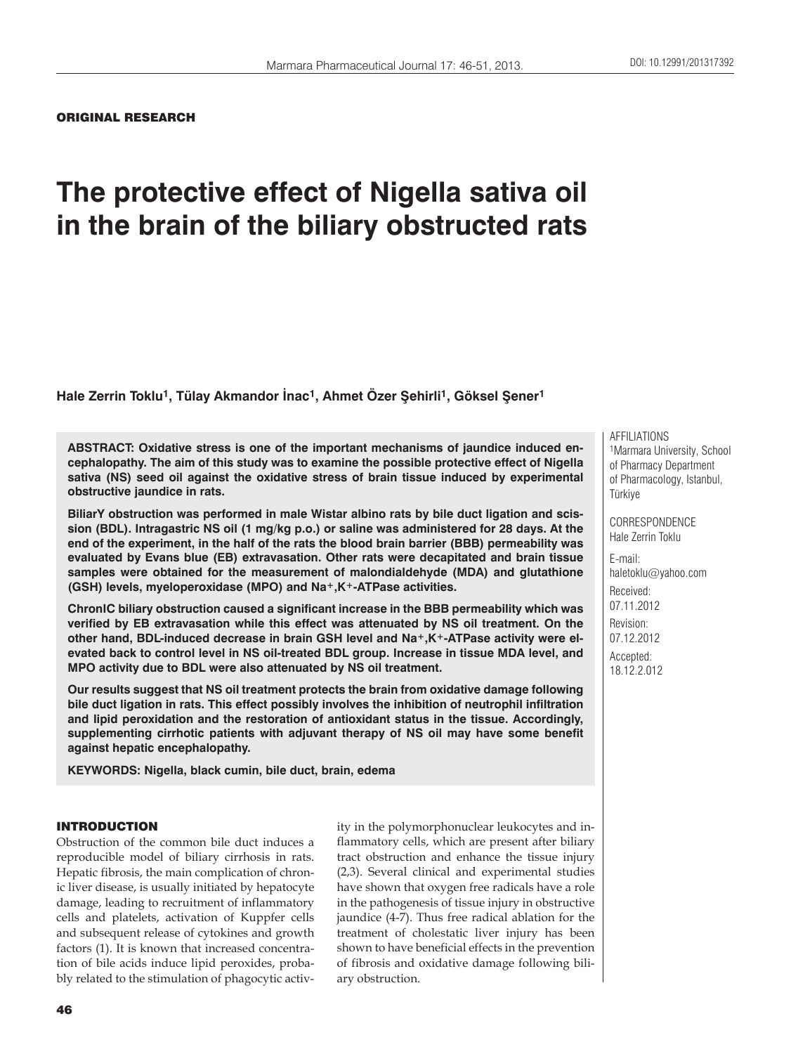## ORIGINAL RESEARCH

# **The protective effect of Nigella sativa oil in the brain of the biliary obstructed rats**

**Hale Zerrin Toklu1, Tülay Akmandor İnac1, Ahmet Özer Şehirli1, Göksel Şener1**

**ABSTRACT: Oxidative stress is one of the important mechanisms of jaundice induced encephalopathy. The aim of this study was to examine the possible protective effect of Nigella sativa (NS) seed oil against the oxidative stress of brain tissue induced by experimental obstructive jaundice in rats.**

**BiliarY obstruction was performed in male Wistar albino rats by bile duct ligation and scission (BDL). Intragastric NS oil (1 mg/kg p.o.) or saline was administered for 28 days. At the end of the experiment, in the half of the rats the blood brain barrier (BBB) permeability was evaluated by Evans blue (EB) extravasation. Other rats were decapitated and brain tissue samples were obtained for the measurement of malondialdehyde (MDA) and glutathione (GSH) levels, myeloperoxidase (MPO) and Na+,K+-ATPase activities.** 

**ChronIC biliary obstruction caused a significant increase in the BBB permeability which was verified by EB extravasation while this effect was attenuated by NS oil treatment. On the**  other hand, BDL-induced decrease in brain GSH level and Na<sup>+</sup>,K<sup>+</sup>-ATPase activity were el**evated back to control level in NS oil-treated BDL group. Increase in tissue MDA level, and MPO activity due to BDL were also attenuated by NS oil treatment.** 

**Our results suggest that NS oil treatment protects the brain from oxidative damage following bile duct ligation in rats. This effect possibly involves the inhibition of neutrophil infiltration and lipid peroxidation and the restoration of antioxidant status in the tissue. Accordingly, supplementing cirrhotic patients with adjuvant therapy of NS oil may have some benefit against hepatic encephalopathy.**

**KEYWORDS: Nigella, black cumin, bile duct, brain, edema**

## INTRODUCTION

Obstruction of the common bile duct induces a reproducible model of biliary cirrhosis in rats. Hepatic fibrosis, the main complication of chronic liver disease, is usually initiated by hepatocyte damage, leading to recruitment of inflammatory cells and platelets, activation of Kuppfer cells and subsequent release of cytokines and growth factors (1). It is known that increased concentration of bile acids induce lipid peroxides, probably related to the stimulation of phagocytic activity in the polymorphonuclear leukocytes and inflammatory cells, which are present after biliary tract obstruction and enhance the tissue injury (2,3). Several clinical and experimental studies have shown that oxygen free radicals have a role in the pathogenesis of tissue injury in obstructive jaundice (4-7). Thus free radical ablation for the treatment of cholestatic liver injury has been shown to have beneficial effects in the prevention of fibrosis and oxidative damage following biliary obstruction.

AFFILIATIONS 1Marmara University, School of Pharmacy Department of Pharmacology, Istanbul, Türkiye

CORRESPONDENCE Hale Zerrin Toklu

E-mail: haletoklu@yahoo.com Received: 07.11.2012 Revision: 07.12.2012 Accepted: 18.12.2.012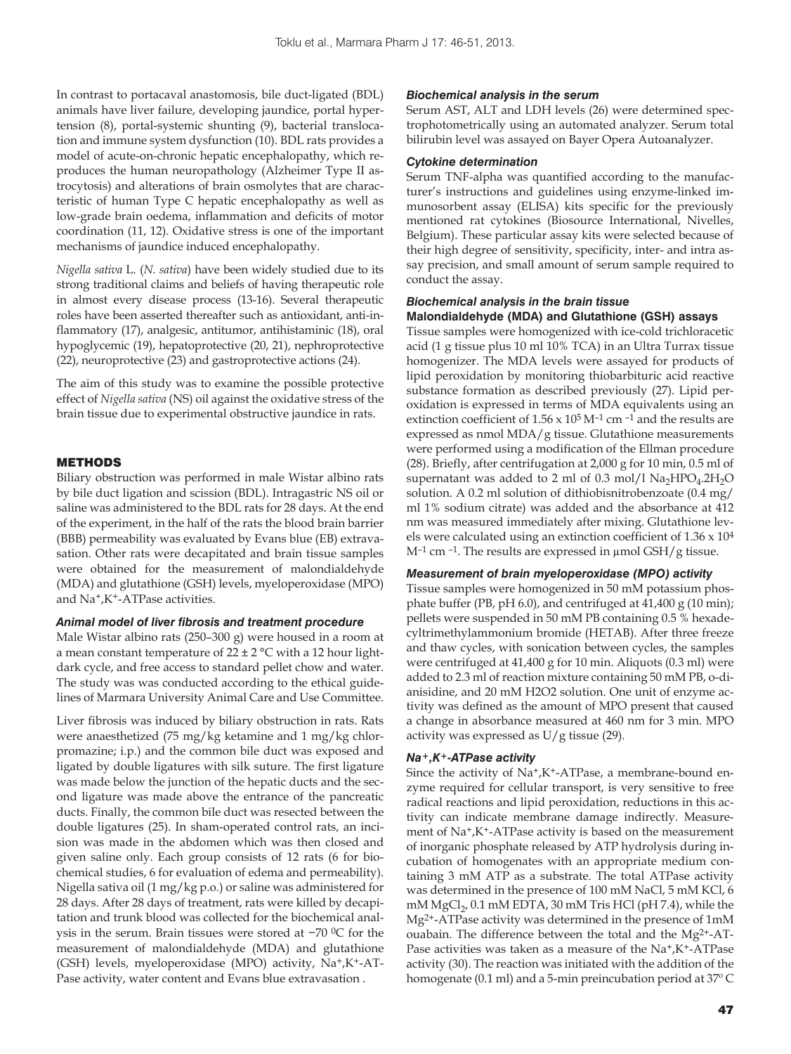In contrast to portacaval anastomosis, bile duct-ligated (BDL) animals have liver failure, developing jaundice, portal hypertension (8), portal-systemic shunting (9), bacterial translocation and immune system dysfunction (10). BDL rats provides a model of acute-on-chronic hepatic encephalopathy, which reproduces the human neuropathology (Alzheimer Type II astrocytosis) and alterations of brain osmolytes that are characteristic of human Type C hepatic encephalopathy as well as low-grade brain oedema, inflammation and deficits of motor coordination (11, 12). Oxidative stress is one of the important mechanisms of jaundice induced encephalopathy.

*Nigella sativa* L. (*N. sativa*) have been widely studied due to its strong traditional claims and beliefs of having therapeutic role in almost every disease process (13-16). Several therapeutic roles have been asserted thereafter such as antioxidant, anti-inflammatory (17), analgesic, antitumor, antihistaminic (18), oral hypoglycemic (19), hepatoprotective (20, 21), nephroprotective (22), neuroprotective (23) and gastroprotective actions (24).

The aim of this study was to examine the possible protective effect of *Nigella sativa* (NS) oil against the oxidative stress of the brain tissue due to experimental obstructive jaundice in rats.

#### METHODS

Biliary obstruction was performed in male Wistar albino rats by bile duct ligation and scission (BDL). Intragastric NS oil or saline was administered to the BDL rats for 28 days. At the end of the experiment, in the half of the rats the blood brain barrier (BBB) permeability was evaluated by Evans blue (EB) extravasation. Other rats were decapitated and brain tissue samples were obtained for the measurement of malondialdehyde (MDA) and glutathione (GSH) levels, myeloperoxidase (MPO) and Na+,K+-ATPase activities.

#### *Animal model of liver fibrosis and treatment procedure*

Male Wistar albino rats (250–300 g) were housed in a room at a mean constant temperature of  $22 \pm 2$  °C with a 12 hour lightdark cycle, and free access to standard pellet chow and water. The study was was conducted according to the ethical guidelines of Marmara University Animal Care and Use Committee.

Liver fibrosis was induced by biliary obstruction in rats. Rats were anaesthetized (75 mg/kg ketamine and 1 mg/kg chlorpromazine; i.p.) and the common bile duct was exposed and ligated by double ligatures with silk suture. The first ligature was made below the junction of the hepatic ducts and the second ligature was made above the entrance of the pancreatic ducts. Finally, the common bile duct was resected between the double ligatures (25). In sham-operated control rats, an incision was made in the abdomen which was then closed and given saline only. Each group consists of 12 rats (6 for biochemical studies, 6 for evaluation of edema and permeability). Nigella sativa oil (1 mg/kg p.o.) or saline was administered for 28 days. After 28 days of treatment, rats were killed by decapitation and trunk blood was collected for the biochemical analysis in the serum. Brain tissues were stored at −70 0C for the measurement of malondialdehyde (MDA) and glutathione (GSH) levels, myeloperoxidase (MPO) activity, Na+,K+-AT-Pase activity, water content and Evans blue extravasation .

# *Biochemical analysis in the serum*

Serum AST, ALT and LDH levels (26) were determined spectrophotometrically using an automated analyzer. Serum total bilirubin level was assayed on Bayer Opera Autoanalyzer.

#### *Cytokine determination*

Serum TNF-alpha was quantified according to the manufacturer's instructions and guidelines using enzyme-linked immunosorbent assay (ELISA) kits specific for the previously mentioned rat cytokines (Biosource International, Nivelles, Belgium). These particular assay kits were selected because of their high degree of sensitivity, specificity, inter- and intra assay precision, and small amount of serum sample required to conduct the assay.

## *Biochemical analysis in the brain tissue* **Malondialdehyde (MDA) and Glutathione (GSH) assays**

Tissue samples were homogenized with ice-cold trichloracetic acid (1 g tissue plus 10 ml 10% TCA) in an Ultra Turrax tissue homogenizer. The MDA levels were assayed for products of lipid peroxidation by monitoring thiobarbituric acid reactive substance formation as described previously (27). Lipid peroxidation is expressed in terms of MDA equivalents using an extinction coefficient of  $1.56 \times 10^5$  M<sup>-1</sup> cm<sup>-1</sup> and the results are expressed as nmol MDA/g tissue. Glutathione measurements were performed using a modification of the Ellman procedure (28). Briefly, after centrifugation at 2,000 g for 10 min, 0.5 ml of supernatant was added to 2 ml of 0.3 mol/l  $\text{Na}_2\text{HPO}_4.2\text{H}_2\text{O}$ solution. A 0.2 ml solution of dithiobisnitrobenzoate (0.4 mg/ ml 1% sodium citrate) was added and the absorbance at 412 nm was measured immediately after mixing. Glutathione levels were calculated using an extinction coefficient of 1.36 x 104 M–1 cm –1. The results are expressed in μmol GSH/g tissue.

# *Measurement of brain myeloperoxidase (MPO) activity*

Tissue samples were homogenized in 50 mM potassium phosphate buffer (PB, pH 6.0), and centrifuged at 41,400 g (10 min); pellets were suspended in 50 mM PB containing 0.5 % hexadecyltrimethylammonium bromide (HETAB). After three freeze and thaw cycles, with sonication between cycles, the samples were centrifuged at 41,400 g for 10 min. Aliquots (0.3 ml) were added to 2.3 ml of reaction mixture containing 50 mM PB, o-dianisidine, and 20 mM H2O2 solution. One unit of enzyme activity was defined as the amount of MPO present that caused a change in absorbance measured at 460 nm for 3 min. MPO activity was expressed as  $U/g$  tissue (29).

#### *Na+,K+-ATPase activity*

Since the activity of  $Na^+$ , $K^+$ -ATPase, a membrane-bound enzyme required for cellular transport, is very sensitive to free radical reactions and lipid peroxidation, reductions in this activity can indicate membrane damage indirectly. Measurement of Na+,K+-ATPase activity is based on the measurement of inorganic phosphate released by ATP hydrolysis during incubation of homogenates with an appropriate medium containing 3 mM ATP as a substrate. The total ATPase activity was determined in the presence of 100 mM NaCl, 5 mM KCl, 6 mM  $MgCl<sub>2</sub>$ , 0.1 mM EDTA, 30 mM Tris HCl (pH 7.4), while the Mg2+-ATPase activity was determined in the presence of 1mM ouabain. The difference between the total and the Mg2+-AT-Pase activities was taken as a measure of the Na<sup>+</sup>,K<sup>+</sup>-ATPase activity (30). The reaction was initiated with the addition of the homogenate (0.1 ml) and a 5-min preincubation period at 37º C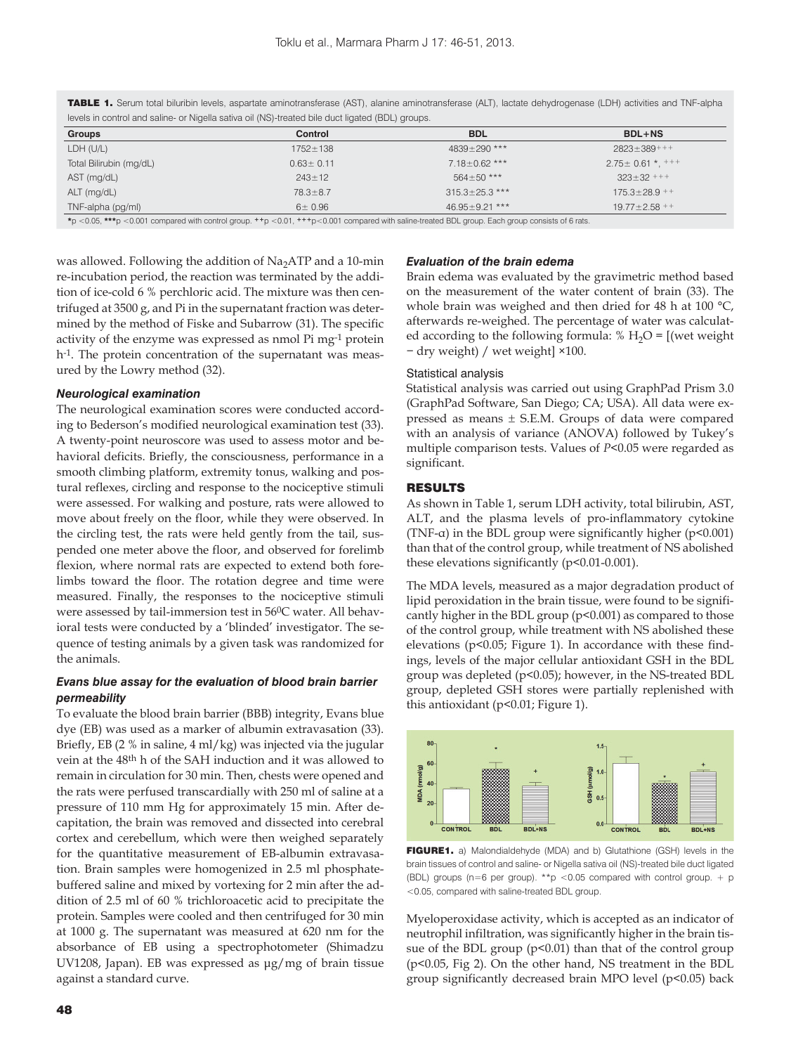| icveis in control and sainte- or riggeia sativa on (rio)-treated bile duct ligated (DDL) groups. |                 |                      |                        |
|--------------------------------------------------------------------------------------------------|-----------------|----------------------|------------------------|
| Groups                                                                                           | Control         | <b>BDL</b>           | $BDL+NS$               |
| LDH (U/L)                                                                                        | $1752 \pm 138$  | $4839 \pm 290$ ***   | $2823 \pm 389$ +++     |
| Total Bilirubin (mg/dL)                                                                          | $0.63 \pm 0.11$ | $7.18 \pm 0.62$ ***  | $2.75 \pm 0.61$ *, +++ |
| AST (mg/dL)                                                                                      | $243 \pm 12$    | $564 \pm 50$ ***     | $323 \pm 32$ +++       |
| ALT (mg/dL)                                                                                      | $78.3 \pm 8.7$  | $315.3 \pm 25.3$ *** | $175.3 \pm 28.9$ ++    |
| TNF-alpha (pg/ml)                                                                                | 6 ± 0.96        | $46.95 \pm 9.21$ *** | $19.77 \pm 2.58$ ++    |
|                                                                                                  |                 |                      |                        |

TABLE 1. Serum total biluribin levels, aspartate aminotransferase (AST), alanine aminotransferase (ALT), lactate dehydrogenase (LDH) activities and TNF-alpha levels in control and saline- or Nigella sativa oil (NS)-treated bile duct ligated (BDL) groups.

**\***p <0.05, **\*\*\***p <0.001 compared with control group. **++**p <0.01, **+++**p<0.001 compared with saline-treated BDL group. Each group consists of 6 rats.

was allowed. Following the addition of  $Na<sub>2</sub>ATP$  and a 10-min re-incubation period, the reaction was terminated by the addition of ice-cold 6 % perchloric acid. The mixture was then centrifuged at 3500 g, and Pi in the supernatant fraction was determined by the method of Fiske and Subarrow (31). The specific activity of the enzyme was expressed as nmol Pi mg-1 protein h-1. The protein concentration of the supernatant was measured by the Lowry method (32).

## *Neurological examination*

The neurological examination scores were conducted according to Bederson's modified neurological examination test (33). A twenty-point neuroscore was used to assess motor and behavioral deficits. Briefly, the consciousness, performance in a smooth climbing platform, extremity tonus, walking and postural reflexes, circling and response to the nociceptive stimuli were assessed. For walking and posture, rats were allowed to move about freely on the floor, while they were observed. In the circling test, the rats were held gently from the tail, suspended one meter above the floor, and observed for forelimb flexion, where normal rats are expected to extend both forelimbs toward the floor. The rotation degree and time were measured. Finally, the responses to the nociceptive stimuli were assessed by tail-immersion test in 560C water. All behavioral tests were conducted by a 'blinded' investigator. The sequence of testing animals by a given task was randomized for the animals.

# *Evans blue assay for the evaluation of blood brain barrier permeability*

To evaluate the blood brain barrier (BBB) integrity, Evans blue dye (EB) was used as a marker of albumin extravasation (33). Briefly, EB (2 % in saline, 4 ml/kg) was injected via the jugular vein at the 48th h of the SAH induction and it was allowed to remain in circulation for 30 min. Then, chests were opened and the rats were perfused transcardially with 250 ml of saline at a pressure of 110 mm Hg for approximately 15 min. After decapitation, the brain was removed and dissected into cerebral cortex and cerebellum, which were then weighed separately for the quantitative measurement of EB-albumin extravasation. Brain samples were homogenized in 2.5 ml phosphatebuffered saline and mixed by vortexing for 2 min after the addition of 2.5 ml of 60 % trichloroacetic acid to precipitate the protein. Samples were cooled and then centrifuged for 30 min at 1000 g. The supernatant was measured at 620 nm for the absorbance of EB using a spectrophotometer (Shimadzu UV1208, Japan). EB was expressed as μg/mg of brain tissue against a standard curve.

# *Evaluation of the brain edema*

Brain edema was evaluated by the gravimetric method based on the measurement of the water content of brain (33). The whole brain was weighed and then dried for 48 h at 100 °C, afterwards re-weighed. The percentage of water was calculated according to the following formula: %  $H_2O =$  [(wet weight − dry weight) / wet weight] ×100.

#### Statistical analysis

Statistical analysis was carried out using GraphPad Prism 3.0 (GraphPad Software, San Diego; CA; USA). All data were expressed as means  $\pm$  S.E.M. Groups of data were compared with an analysis of variance (ANOVA) followed by Tukey's multiple comparison tests. Values of *P*<0.05 were regarded as significant.

# RESULTS

As shown in Table 1, serum LDH activity, total bilirubin, AST, ALT, and the plasma levels of pro-inflammatory cytokine (TNF- $\alpha$ ) in the BDL group were significantly higher (p<0.001) than that of the control group, while treatment of NS abolished these elevations significantly (p<0.01-0.001).

The MDA levels, measured as a major degradation product of lipid peroxidation in the brain tissue, were found to be significantly higher in the BDL group (p<0.001) as compared to those of the control group, while treatment with NS abolished these elevations (p<0.05; Figure 1). In accordance with these findings, levels of the major cellular antioxidant GSH in the BDL group was depleted (p<0.05); however, in the NS-treated BDL group, depleted GSH stores were partially replenished with this antioxidant (p<0.01; Figure 1).



FIGURE1. a) Malondialdehyde (MDA) and b) Glutathione (GSH) levels in the brain tissues of control and saline- or Nigella sativa oil (NS)-treated bile duct ligated (BDL) groups (n=6 per group). \*\*p <0.05 compared with control group. + p <0.05, compared with saline-treated BDL group.

Myeloperoxidase activity, which is accepted as an indicator of neutrophil infiltration, was significantly higher in the brain tissue of the BDL group (p<0.01) than that of the control group (p<0.05, Fig 2). On the other hand, NS treatment in the BDL group significantly decreased brain MPO level (p<0.05) back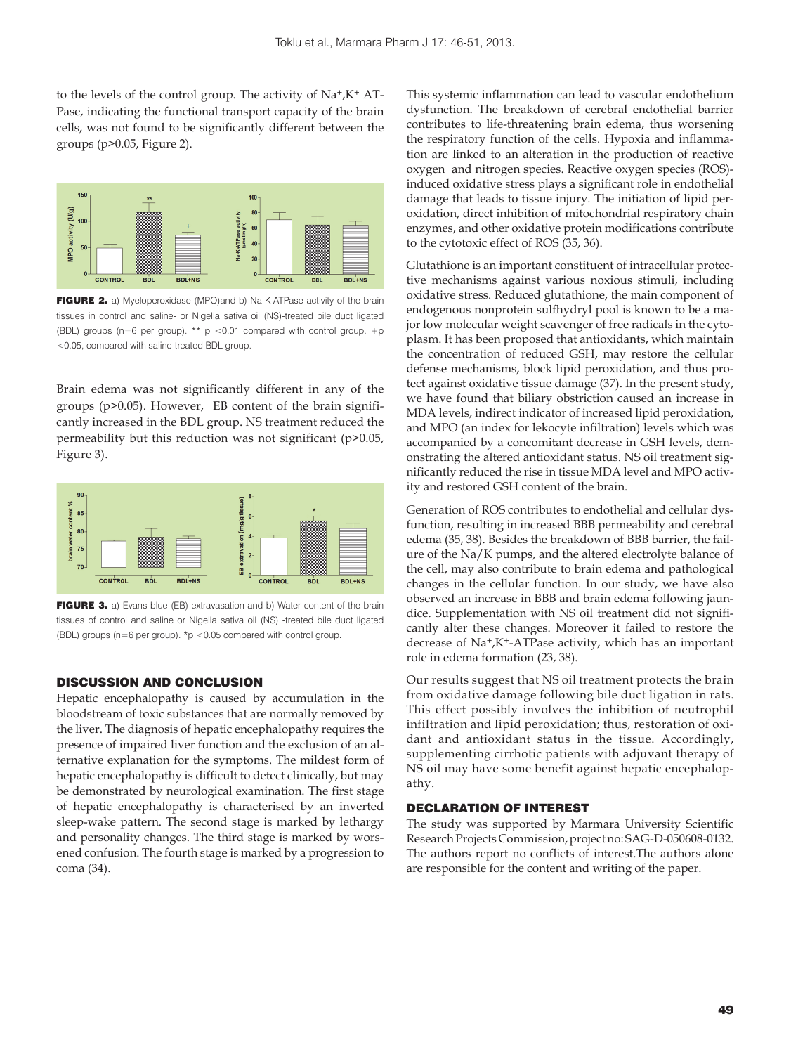to the levels of the control group. The activity of  $Na^+$ , $K^+$  AT-Pase, indicating the functional transport capacity of the brain cells, was not found to be significantly different between the groups (p>0.05, Figure 2).



FIGURE 2. a) Myeloperoxidase (MPO)and b) Na-K-ATPase activity of the brain tissues in control and saline- or Nigella sativa oil (NS)-treated bile duct ligated (BDL) groups (n=6 per group). \*\*  $p$  <0.01 compared with control group. +p <0.05, compared with saline-treated BDL group.

Brain edema was not significantly different in any of the groups (p>0.05). However, EB content of the brain significantly increased in the BDL group. NS treatment reduced the permeability but this reduction was not significant (p>0.05, Figure 3).



FIGURE 3. a) Evans blue (EB) extravasation and b) Water content of the brain tissues of control and saline or Nigella sativa oil (NS) -treated bile duct ligated (BDL) groups ( $n=6$  per group). \*p <0.05 compared with control group

# DISCUSSION AND CONCLUSION

Hepatic encephalopathy is caused by accumulation in the bloodstream of toxic substances that are normally removed by the liver. The diagnosis of hepatic encephalopathy requires the presence of impaired liver function and the exclusion of an alternative explanation for the symptoms. The mildest form of hepatic encephalopathy is difficult to detect clinically, but may be demonstrated by neurological examination. The first stage of hepatic encephalopathy is characterised by an inverted sleep-wake pattern. The second stage is marked by lethargy and personality changes. The third stage is marked by worsened confusion. The fourth stage is marked by a progression to coma (34).

This systemic inflammation can lead to vascular endothelium dysfunction. The breakdown of cerebral endothelial barrier contributes to life-threatening brain edema, thus worsening the respiratory function of the cells. Hypoxia and inflammation are linked to an alteration in the production of reactive oxygen and nitrogen species. Reactive oxygen species (ROS) induced oxidative stress plays a significant role in endothelial damage that leads to tissue injury. The initiation of lipid peroxidation, direct inhibition of mitochondrial respiratory chain enzymes, and other oxidative protein modifications contribute to the cytotoxic effect of ROS (35, 36).

Glutathione is an important constituent of intracellular protective mechanisms against various noxious stimuli, including oxidative stress. Reduced glutathione, the main component of endogenous nonprotein sulfhydryl pool is known to be a major low molecular weight scavenger of free radicals in the cytoplasm. It has been proposed that antioxidants, which maintain the concentration of reduced GSH, may restore the cellular defense mechanisms, block lipid peroxidation, and thus protect against oxidative tissue damage (37). In the present study, we have found that biliary obstriction caused an increase in MDA levels, indirect indicator of increased lipid peroxidation, and MPO (an index for lekocyte infiltration) levels which was accompanied by a concomitant decrease in GSH levels, demonstrating the altered antioxidant status. NS oil treatment significantly reduced the rise in tissue MDA level and MPO activity and restored GSH content of the brain.

Generation of ROS contributes to endothelial and cellular dysfunction, resulting in increased BBB permeability and cerebral edema (35, 38). Besides the breakdown of BBB barrier, the failure of the Na/K pumps, and the altered electrolyte balance of the cell, may also contribute to brain edema and pathological changes in the cellular function. In our study, we have also observed an increase in BBB and brain edema following jaundice. Supplementation with NS oil treatment did not significantly alter these changes. Moreover it failed to restore the decrease of Na+,K+-ATPase activity, which has an important role in edema formation (23, 38).

Our results suggest that NS oil treatment protects the brain from oxidative damage following bile duct ligation in rats. This effect possibly involves the inhibition of neutrophil infiltration and lipid peroxidation; thus, restoration of oxidant and antioxidant status in the tissue. Accordingly, supplementing cirrhotic patients with adjuvant therapy of NS oil may have some benefit against hepatic encephalopathy.

### DECLARATION OF INTEREST

The study was supported by Marmara University Scientific Research Projects Commission, project no: SAG-D-050608-0132. The authors report no conflicts of interest.The authors alone are responsible for the content and writing of the paper.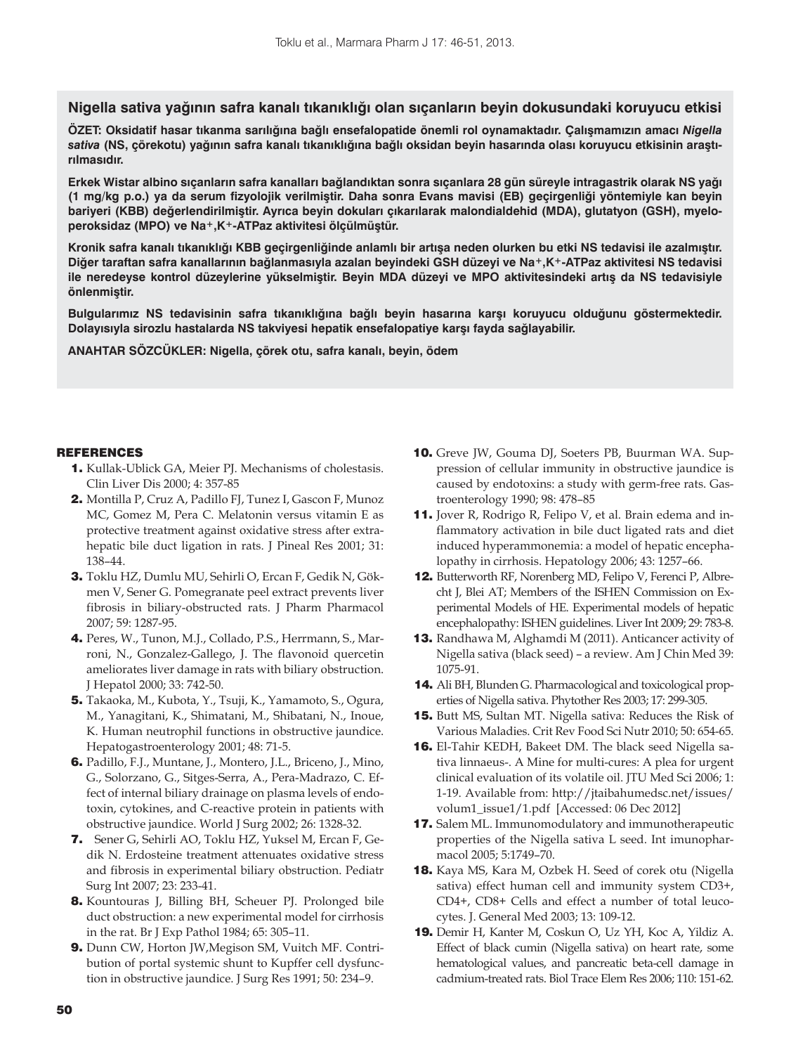**Nigella sativa yağının safra kanalı tıkanıklığı olan sıçanların beyin dokusundaki koruyucu etkisi**

**ÖZET: Oksidatif hasar tıkanma sarılığına bağlı ensefalopatide önemli rol oynamaktadır. Çalışmamızın amacı** *Nigella sativa* **(NS, çörekotu) yağının safra kanalı tıkanıklığına bağlı oksidan beyin hasarında olası koruyucu etkisinin araştırılmasıdır.** 

**Erkek Wistar albino sıçanların safra kanalları bağlandıktan sonra sıçanlara 28 gün süreyle intragastrik olarak NS yağı (1 mg/kg p.o.) ya da serum fizyolojik verilmiştir. Daha sonra Evans mavisi (EB) geçirgenliği yöntemiyle kan beyin bariyeri (KBB) değerlendirilmiştir. Ayrıca beyin dokuları çıkarılarak malondialdehid (MDA), glutatyon (GSH), myeloperoksidaz (MPO) ve Na+,K+-ATPaz aktivitesi ölçülmüştür.** 

**Kronik safra kanalı tıkanıklığı KBB geçirgenliğinde anlamlı bir artışa neden olurken bu etki NS tedavisi ile azalmıştır. Diğer taraftan safra kanallarının bağlanmasıyla azalan beyindeki GSH düzeyi ve Na+,K+-ATPaz aktivitesi NS tedavisi ile neredeyse kontrol düzeylerine yükselmiştir. Beyin MDA düzeyi ve MPO aktivitesindeki artış da NS tedavisiyle önlenmiştir.**

**Bulgularımız NS tedavisinin safra tıkanıklığına bağlı beyin hasarına karşı koruyucu olduğunu göstermektedir. Dolayısıyla sirozlu hastalarda NS takviyesi hepatik ensefalopatiye karşı fayda sağlayabilir.**

**ANAHTAR SÖZCÜKLER: Nigella, çörek otu, safra kanalı, beyin, ödem**

# REFERENCES

- 1. Kullak-Ublick GA, Meier PJ. Mechanisms of cholestasis. Clin Liver Dis 2000; 4: 357-85
- 2. Montilla P, Cruz A, Padillo FJ, Tunez I, Gascon F, Munoz MC, Gomez M, Pera C. Melatonin versus vitamin E as protective treatment against oxidative stress after extrahepatic bile duct ligation in rats. J Pineal Res 2001; 31: 138–44.
- 3. Toklu HZ, Dumlu MU, Sehirli O, Ercan F, Gedik N, Gökmen V, Sener G. Pomegranate peel extract prevents liver fibrosis in biliary-obstructed rats. J Pharm Pharmacol 2007; 59: 1287-95.
- 4. Peres, W., Tunon, M.J., Collado, P.S., Herrmann, S., Marroni, N., Gonzalez-Gallego, J. The flavonoid quercetin ameliorates liver damage in rats with biliary obstruction. J Hepatol 2000; 33: 742-50.
- 5. Takaoka, M., Kubota, Y., Tsuji, K., Yamamoto, S., Ogura, M., Yanagitani, K., Shimatani, M., Shibatani, N., Inoue, K. Human neutrophil functions in obstructive jaundice. Hepatogastroenterology 2001; 48: 71-5.
- 6. Padillo, F.J., Muntane, J., Montero, J.L., Briceno, J., Mino, G., Solorzano, G., Sitges-Serra, A., Pera-Madrazo, C. Effect of internal biliary drainage on plasma levels of endotoxin, cytokines, and C-reactive protein in patients with obstructive jaundice. World J Surg 2002; 26: 1328-32.
- 7. Sener G, Sehirli AO, Toklu HZ, Yuksel M, Ercan F, Gedik N. Erdosteine treatment attenuates oxidative stress and fibrosis in experimental biliary obstruction. Pediatr Surg Int 2007; 23: 233-41.
- 8. Kountouras J, Billing BH, Scheuer PJ. Prolonged bile duct obstruction: a new experimental model for cirrhosis in the rat. Br J Exp Pathol 1984; 65: 305–11.
- 9. Dunn CW, Horton JW,Megison SM, Vuitch MF. Contribution of portal systemic shunt to Kupffer cell dysfunction in obstructive jaundice. J Surg Res 1991; 50: 234–9.
- 10. Greve JW, Gouma DJ, Soeters PB, Buurman WA. Suppression of cellular immunity in obstructive jaundice is caused by endotoxins: a study with germ-free rats. Gastroenterology 1990; 98: 478–85
- 11. Jover R, Rodrigo R, Felipo V, et al. Brain edema and inflammatory activation in bile duct ligated rats and diet induced hyperammonemia: a model of hepatic encephalopathy in cirrhosis. Hepatology 2006; 43: 1257–66.
- 12. Butterworth RF, Norenberg MD, Felipo V, Ferenci P, Albrecht J, Blei AT; Members of the ISHEN Commission on Experimental Models of HE. Experimental models of hepatic encephalopathy: ISHEN guidelines. Liver Int 2009; 29: 783-8.
- 13. Randhawa M, Alghamdi M (2011). Anticancer activity of Nigella sativa (black seed) – a review. Am J Chin Med 39: 1075-91.
- 14. Ali BH, Blunden G. Pharmacological and toxicological properties of Nigella sativa. Phytother Res 2003; 17: 299-305.
- 15. Butt MS, Sultan MT. Nigella sativa: Reduces the Risk of Various Maladies. Crit Rev Food Sci Nutr 2010; 50: 654-65.
- 16. El-Tahir KEDH, Bakeet DM. The black seed Nigella sativa linnaeus-. A Mine for multi-cures: A plea for urgent clinical evaluation of its volatile oil. JTU Med Sci 2006; 1: 1-19. Available from: http://jtaibahumedsc.net/issues/ volum1\_issue1/1.pdf [Accessed: 06 Dec 2012]
- 17. Salem ML. Immunomodulatory and immunotherapeutic properties of the Nigella sativa L seed. Int imunopharmacol 2005; 5:1749–70.
- 18. Kaya MS, Kara M, Ozbek H. Seed of corek otu (Nigella sativa) effect human cell and immunity system CD3+, CD4+, CD8+ Cells and effect a number of total leucocytes. J. General Med 2003; 13: 109-12.
- 19. Demir H, Kanter M, Coskun O, Uz YH, Koc A, Yildiz A. Effect of black cumin (Nigella sativa) on heart rate, some hematological values, and pancreatic beta-cell damage in cadmium-treated rats. Biol Trace Elem Res 2006; 110: 151-62.